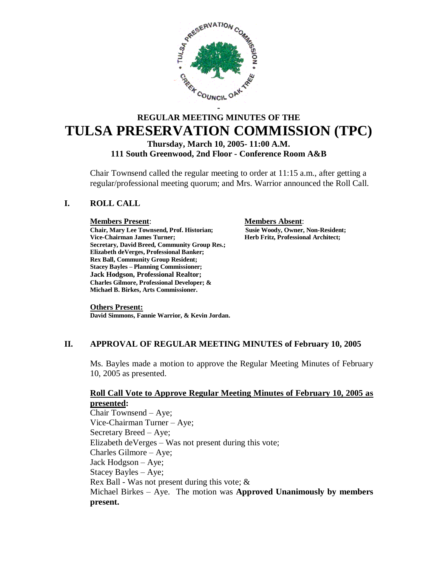

# **REGULAR MEETING MINUTES OF THE TULSA PRESERVATION COMMISSION (TPC) Thursday, March 10, 2005- 11:00 A.M. 111 South Greenwood, 2nd Floor - Conference Room A&B**

Chair Townsend called the regular meeting to order at 11:15 a.m., after getting a regular/professional meeting quorum; and Mrs. Warrior announced the Roll Call.

# **I. ROLL CALL**

**Chair, Mary Lee Townsend, Prof. Historian; Vice-Chairman James Turner; Herb Fritz, Professional Architect; Secretary, David Breed, Community Group Res.; Elizabeth deVerges, Professional Banker; Rex Ball, Community Group Resident; Stacey Bayles – Planning Commissioner; Jack Hodgson, Professional Realtor; Charles Gilmore, Professional Developer; & Michael B. Birkes, Arts Commissioner.**

**Members Present**: **Members Absent**:

#### **Others Present:**

**David Simmons, Fannie Warrior, & Kevin Jordan.**

# **II. APPROVAL OF REGULAR MEETING MINUTES of February 10, 2005**

Ms. Bayles made a motion to approve the Regular Meeting Minutes of February 10, 2005 as presented.

# **Roll Call Vote to Approve Regular Meeting Minutes of February 10, 2005 as presented:**

Chair Townsend – Aye; Vice-Chairman Turner – Aye; Secretary Breed – Aye; Elizabeth deVerges –Was not present during this vote; Charles Gilmore – Aye; Jack Hodgson –Aye; Stacey Bayles – Aye; Rex Ball - Was not present during this vote; & Michael Birkes – Aye. The motion was **Approved Unanimously by members present.**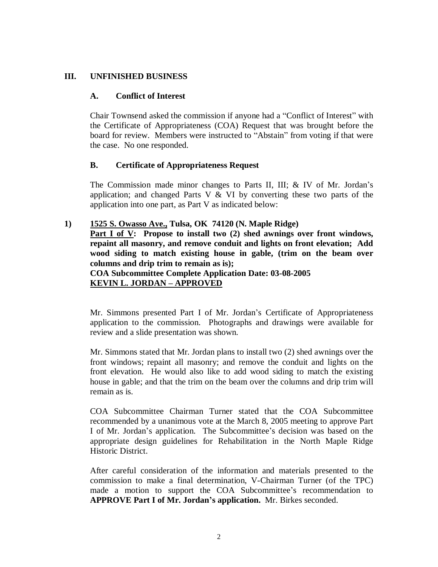# **III. UNFINISHED BUSINESS**

# **A. Conflict of Interest**

Chair Townsend asked the commission if anyone had a "Conflict of Interest" with the Certificate of Appropriateness (COA) Request that was brought before the board for review. Members were instructed to "Abstain" from voting if that were the case. No one responded.

# **B. Certificate of Appropriateness Request**

The Commission made minor changes to Parts II, III; & IV of Mr. Jordan's application; and changed Parts V  $&$  VI by converting these two parts of the application into one part, as Part V as indicated below:

# **1) 1525 S. Owasso Ave., Tulsa, OK 74120 (N. Maple Ridge) Part I of V: Propose to install two (2) shed awnings over front windows, repaint all masonry, and remove conduit and lights on front elevation; Add wood siding to match existing house in gable, (trim on the beam over columns and drip trim to remain as is); COA Subcommittee Complete Application Date: 03-08-2005 KEVIN L. JORDAN – APPROVED**

Mr. Simmons presented Part I of Mr. Jordan's Certificate of Appropriateness application to the commission. Photographs and drawings were available for review and a slide presentation was shown.

Mr. Simmons stated that Mr. Jordan plans to install two (2) shed awnings over the front windows; repaint all masonry; and remove the conduit and lights on the front elevation. He would also like to add wood siding to match the existing house in gable; and that the trim on the beam over the columns and drip trim will remain as is.

COA Subcommittee Chairman Turner stated that the COA Subcommittee recommended by a unanimous vote at the March 8, 2005 meeting to approve Part I of Mr. Jordan's application. The Subcommittee's decision was based on the appropriate design guidelines for Rehabilitation in the North Maple Ridge Historic District.

After careful consideration of the information and materials presented to the commission to make a final determination, V-Chairman Turner (of the TPC) made a motion to support the COA Subcommittee's recommendation to **APPROVE Part I of Mr. Jordan's application.** Mr. Birkes seconded.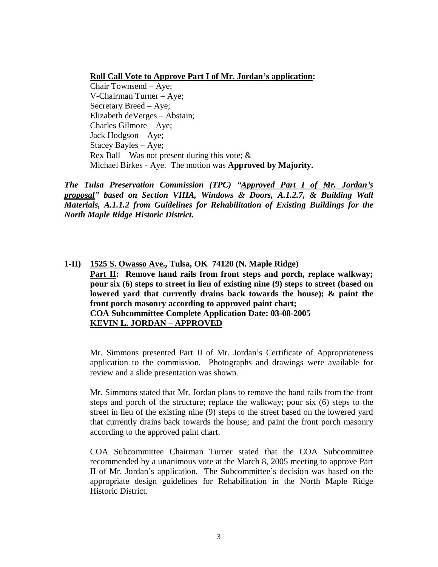## **Roll Call Vote to Approve Part I of Mr. Jordan's application:**

Chair Townsend – Aye; V-Chairman Turner – Aye; Secretary Breed – Aye; Elizabeth deVerges – Abstain; Charles Gilmore – Aye; Jack Hodgson – Aye; Stacey Bayles – Aye; Rex Ball – Was not present during this vote;  $\&$ Michael Birkes - Aye. The motion was **Approved by Majority.**

*The Tulsa Preservation Commission (TPC) "Approved Part I of Mr. Jordan's proposal" based on Section VIIIA, Windows & Doors, A.1.2.7, & Building Wall Materials, A.1.1.2 from Guidelines for Rehabilitation of Existing Buildings for the North Maple Ridge Historic District.*

**1-II) 1525 S. Owasso Ave., Tulsa, OK 74120 (N. Maple Ridge) Part II: Remove hand rails from front steps and porch, replace walkway; pour six (6) steps to street in lieu of existing nine (9) steps to street (based on lowered yard that currently drains back towards the house); & paint the front porch masonry according to approved paint chart; COA Subcommittee Complete Application Date: 03-08-2005 KEVIN L. JORDAN – APPROVED** 

Mr. Simmons presented Part II of Mr. Jordan's Certificate of Appropriateness application to the commission. Photographs and drawings were available for review and a slide presentation was shown.

Mr. Simmons stated that Mr. Jordan plans to remove the hand rails from the front steps and porch of the structure; replace the walkway; pour six (6) steps to the street in lieu of the existing nine (9) steps to the street based on the lowered yard that currently drains back towards the house; and paint the front porch masonry according to the approved paint chart.

COA Subcommittee Chairman Turner stated that the COA Subcommittee recommended by a unanimous vote at the March 8, 2005 meeting to approve Part II of Mr. Jordan's application. The Subcommittee's decision was based on the appropriate design guidelines for Rehabilitation in the North Maple Ridge Historic District.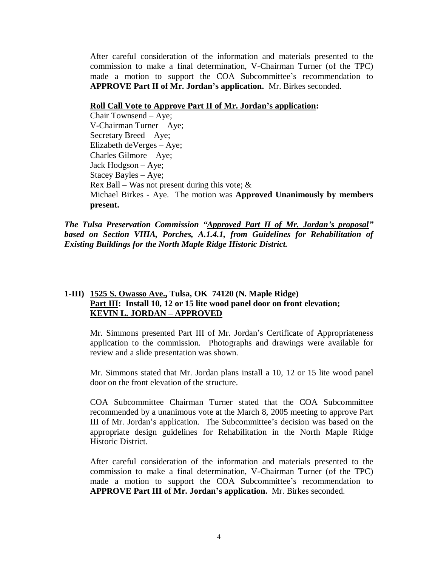After careful consideration of the information and materials presented to the commission to make a final determination, V-Chairman Turner (of the TPC) made a motion to support the COA Subcommittee's recommendation to **APPROVE Part II of Mr. Jordan's application.** Mr. Birkes seconded.

#### **Roll Call Vote to Approve Part II of Mr. Jordan's application:**

Chair Townsend – Aye; V-Chairman Turner – Aye; Secretary Breed – Aye; Elizabeth deVerges – Aye; Charles Gilmore – Aye; Jack Hodgson – Aye; Stacey Bayles – Aye; Rex Ball – Was not present during this vote;  $\&$ Michael Birkes - Aye. The motion was **Approved Unanimously by members present.**

*The Tulsa Preservation Commission "Approved Part II of Mr. Jordan's proposal"* based on Section VIIIA, Porches, A.<sup>1</sup>.4.1, from Guidelines for Rehabilitation of *Existing Buildings for the North Maple Ridge Historic District.*

# **1-III) 1525 S. Owasso Ave., Tulsa, OK 74120 (N. Maple Ridge) Part III: Install 10, 12 or 15 lite wood panel door on front elevation; KEVIN L. JORDAN – APPROVED**

Mr. Simmons presented Part III of Mr. Jordan's Certificate of Appropriateness application to the commission. Photographs and drawings were available for review and a slide presentation was shown.

Mr. Simmons stated that Mr. Jordan plans install a 10, 12 or 15 lite wood panel door on the front elevation of the structure.

COA Subcommittee Chairman Turner stated that the COA Subcommittee recommended by a unanimous vote at the March 8, 2005 meeting to approve Part III of Mr. Jordan's application. The Subcommittee's decision was based on the appropriate design guidelines for Rehabilitation in the North Maple Ridge Historic District.

After careful consideration of the information and materials presented to the commission to make a final determination, V-Chairman Turner (of the TPC) made a motion to support the COA Subcommittee's recommendation to **APPROVE Part III of Mr. Jordan's application.** Mr. Birkes seconded.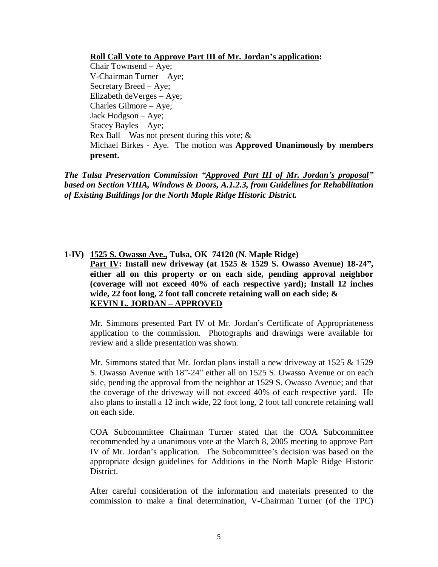## **Roll Call Vote to Approve Part III of Mr. Jordan's application:**

Chair Townsend – Aye; V-Chairman Turner – Aye; Secretary Breed – Aye; Elizabeth deVerges – Aye; Charles Gilmore – Aye; Jack Hodgson – Aye; Stacey Bayles – Aye; Rex Ball – Was not present during this vote;  $\&$ Michael Birkes - Aye. The motion was **Approved Unanimously by members present.**

*The Tulsa Preservation Commission "Approved Part III of Mr. Jordan's proposal" based on Section VIIIA, Windows & Doors, A.1.2.3, from Guidelines for Rehabilitation of Existing Buildings for the North Maple Ridge Historic District.*

**1-IV) 1525 S. Owasso Ave., Tulsa, OK 74120 (N. Maple Ridge) Part IV: Install new driveway (at 1525 & 1529 S. Owasso Avenue) 18-24", either all on this property or on each side, pending approval neighbor (coverage will not exceed 40% of each respective yard); Install 12 inches wide, 22 foot long, 2 foot tall concrete retaining wall on each side; & KEVIN L. JORDAN – APPROVED** 

Mr. Simmons presented Part IV of Mr. Jordan's Certificate of Appropriateness application to the commission. Photographs and drawings were available for review and a slide presentation was shown.

Mr. Simmons stated that Mr. Jordan plans install a new driveway at  $1525 \& 1529$ S. Owasso Avenue with 18"-24" either all on 1525 S. Owasso Avenue or on each side, pending the approval from the neighbor at 1529 S. Owasso Avenue; and that the coverage of the driveway will not exceed 40% of each respective yard. He also plans to install a 12 inch wide, 22 foot long, 2 foot tall concrete retaining wall on each side.

COA Subcommittee Chairman Turner stated that the COA Subcommittee recommended by a unanimous vote at the March 8, 2005 meeting to approve Part IV of Mr. Jordan's application. The Subcommittee's decision was based on the appropriate design guidelines for Additions in the North Maple Ridge Historic District.

After careful consideration of the information and materials presented to the commission to make a final determination, V-Chairman Turner (of the TPC)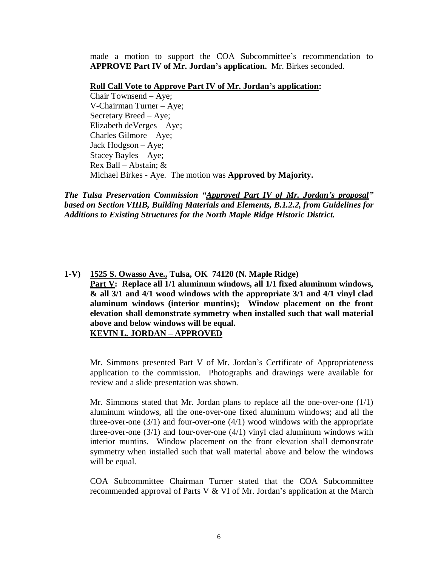made a motion to support the COA Subcommittee's recommendation to **APPROVE Part IV of Mr. Jordan's application.** Mr. Birkes seconded.

#### **Roll Call Vote to Approve Part IV of Mr. Jordan's application:**

Chair Townsend – Aye; V-Chairman Turner – Aye; Secretary Breed – Aye; Elizabeth deVerges – Aye; Charles Gilmore – Aye; Jack Hodgson – Aye; Stacey Bayles – Aye; Rex Ball –Abstain; & Michael Birkes - Aye. The motion was **Approved by Majority.**

*The Tulsa Preservation Commission "Approved Part IV of Mr. Jordan's proposal" based on Section VIIIB, Building Materials and Elements, B.1.2.2, from Guidelines for Additions to Existing Structures for the North Maple Ridge Historic District.*

**1-V) 1525 S. Owasso Ave., Tulsa, OK 74120 (N. Maple Ridge) Part V: Replace all 1/1 aluminum windows, all 1/1 fixed aluminum windows, & all 3/1 and 4/1 wood windows with the appropriate 3/1 and 4/1 vinyl clad aluminum windows (interior muntins); Window placement on the front elevation shall demonstrate symmetry when installed such that wall material above and below windows will be equal. KEVIN L. JORDAN – APPROVED** 

Mr. Simmons presented Part V of Mr. Jordan's Certificate of Appropriateness application to the commission. Photographs and drawings were available for review and a slide presentation was shown.

Mr. Simmons stated that Mr. Jordan plans to replace all the one-over-one  $(1/1)$ aluminum windows, all the one-over-one fixed aluminum windows; and all the three-over-one  $(3/1)$  and four-over-one  $(4/1)$  wood windows with the appropriate three-over-one  $(3/1)$  and four-over-one  $(4/1)$  vinyl clad aluminum windows with interior muntins. Window placement on the front elevation shall demonstrate symmetry when installed such that wall material above and below the windows will be equal.

COA Subcommittee Chairman Turner stated that the COA Subcommittee recommended approval of Parts V & VI of Mr. Jordan's application at the March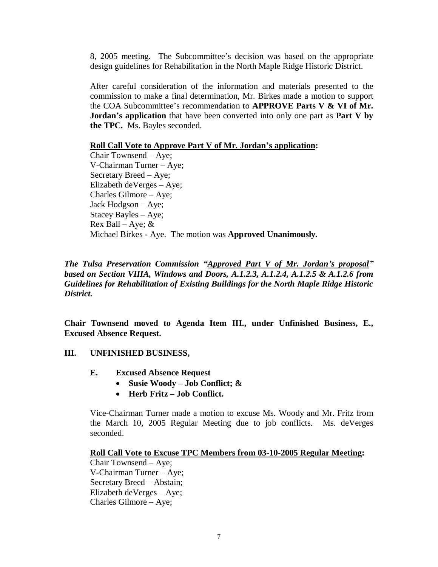8, 2005 meeting. The Subcommittee's decision was based on the appropriate design guidelines for Rehabilitation in the North Maple Ridge Historic District.

After careful consideration of the information and materials presented to the commission to make a final determination, Mr. Birkes made a motion to support the COA Subcommittee's recommendation to **APPROVE Parts V & VI of Mr. Jordan's application** that have been converted into only one part as **Part V by the TPC.** Ms. Bayles seconded.

## **Roll Call Vote to Approve Part V of Mr. Jordan's application:**

Chair Townsend – Aye; V-Chairman Turner – Aye; Secretary Breed – Aye; Elizabeth deVerges – Aye; Charles Gilmore – Aye; Jack Hodgson – Aye; Stacey Bayles – Aye; Rex Ball – Aye;  $&$ Michael Birkes - Aye. The motion was **Approved Unanimously.**

*The Tulsa Preservation Commission "Approved Part V of Mr. Jordan's proposal" based on Section VIIIA, Windows and Doors, A.1.2.3, A.1.2.4, A.1.2.5 & A.1.2.6 from Guidelines for Rehabilitation of Existing Buildings for the North Maple Ridge Historic District.*

**Chair Townsend moved to Agenda Item III., under Unfinished Business, E., Excused Absence Request.**

# **III. UNFINISHED BUSINESS,**

- **E. Excused Absence Request**
	- **Susie Woody – Job Conflict; &**
	- **Herb Fritz – Job Conflict.**

Vice-Chairman Turner made a motion to excuse Ms. Woody and Mr. Fritz from the March 10, 2005 Regular Meeting due to job conflicts. Ms. deVerges seconded.

### **Roll Call Vote to Excuse TPC Members from 03-10-2005 Regular Meeting:**

Chair Townsend – Aye; V-Chairman Turner – Aye; Secretary Breed – Abstain; Elizabeth deVerges – Aye; Charles Gilmore – Aye;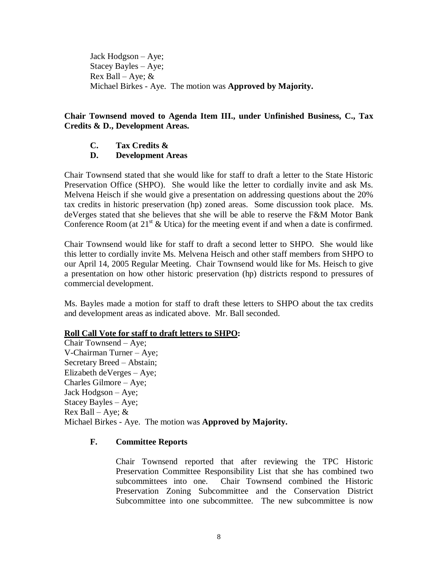Jack Hodgson – Aye; Stacey Bayles – Aye; Rex Ball – Aye;  $&$ Michael Birkes - Aye. The motion was **Approved by Majority.**

# **Chair Townsend moved to Agenda Item III., under Unfinished Business, C., Tax Credits & D., Development Areas.**

**C. Tax Credits &**

# **D. Development Areas**

Chair Townsend stated that she would like for staff to draft a letter to the State Historic Preservation Office (SHPO). She would like the letter to cordially invite and ask Ms. Melvena Heisch if she would give a presentation on addressing questions about the 20% tax credits in historic preservation (hp) zoned areas. Some discussion took place. Ms. deVerges stated that she believes that she will be able to reserve the F&M Motor Bank Conference Room (at  $21<sup>st</sup>$  & Utica) for the meeting event if and when a date is confirmed.

Chair Townsend would like for staff to draft a second letter to SHPO. She would like this letter to cordially invite Ms. Melvena Heisch and other staff members from SHPO to our April 14, 2005 Regular Meeting. Chair Townsend would like for Ms. Heisch to give a presentation on how other historic preservation (hp) districts respond to pressures of commercial development.

Ms. Bayles made a motion for staff to draft these letters to SHPO about the tax credits and development areas as indicated above. Mr. Ball seconded.

# **Roll Call Vote for staff to draft letters to SHPO:**

Chair Townsend – Aye; V-Chairman Turner – Aye; Secretary Breed – Abstain; Elizabeth deVerges – Aye; Charles Gilmore – Aye; Jack Hodgson – Aye; Stacey Bayles – Aye; Rex Ball – Aye;  $&$ Michael Birkes - Aye. The motion was **Approved by Majority.**

# **F. Committee Reports**

Chair Townsend reported that after reviewing the TPC Historic Preservation Committee Responsibility List that she has combined two subcommittees into one. Chair Townsend combined the Historic Preservation Zoning Subcommittee and the Conservation District Subcommittee into one subcommittee. The new subcommittee is now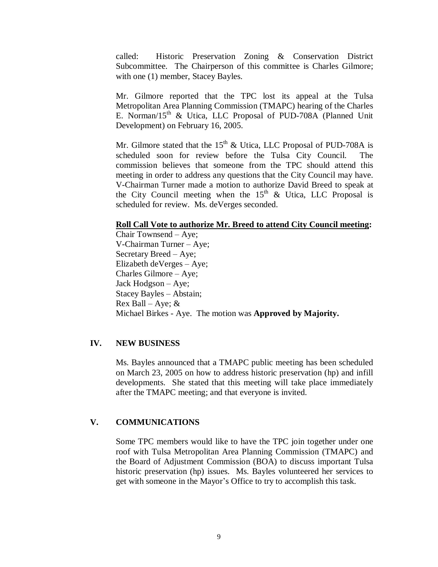called: Historic Preservation Zoning & Conservation District Subcommittee. The Chairperson of this committee is Charles Gilmore; with one (1) member, Stacey Bayles.

Mr. Gilmore reported that the TPC lost its appeal at the Tulsa Metropolitan Area Planning Commission (TMAPC) hearing of the Charles E. Norman/15<sup>th</sup> & Utica, LLC Proposal of PUD-708A (Planned Unit Development) on February 16, 2005.

Mr. Gilmore stated that the  $15<sup>th</sup>$  & Utica, LLC Proposal of PUD-708A is scheduled soon for review before the Tulsa City Council. The commission believes that someone from the TPC should attend this meeting in order to address any questions that the City Council may have. V-Chairman Turner made a motion to authorize David Breed to speak at the City Council meeting when the  $15<sup>th</sup>$  & Utica, LLC Proposal is scheduled for review. Ms. deVerges seconded.

#### **Roll Call Vote to authorize Mr. Breed to attend City Council meeting:**

Chair Townsend – Aye; V-Chairman Turner – Aye; Secretary Breed – Aye; Elizabeth deVerges – Aye; Charles Gilmore – Aye; Jack Hodgson – Aye; Stacey Bayles – Abstain; Rex Ball – Aye;  $&$ Michael Birkes - Aye. The motion was **Approved by Majority.**

# **IV. NEW BUSINESS**

Ms. Bayles announced that a TMAPC public meeting has been scheduled on March 23, 2005 on how to address historic preservation (hp) and infill developments. She stated that this meeting will take place immediately after the TMAPC meeting; and that everyone is invited.

# **V. COMMUNICATIONS**

Some TPC members would like to have the TPC join together under one roof with Tulsa Metropolitan Area Planning Commission (TMAPC) and the Board of Adjustment Commission (BOA) to discuss important Tulsa historic preservation (hp) issues. Ms. Bayles volunteered her services to get with someone in the Mayor's Office to try to accomplish this task.